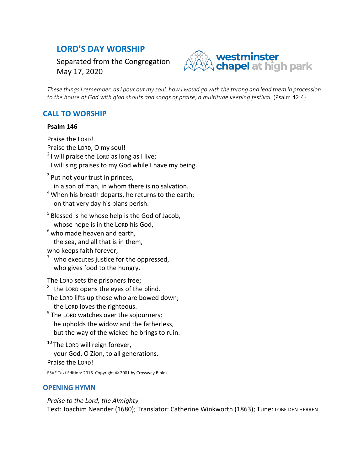# LORD'S DAY WORSHIP

Separated from the Congregation May 17, 2020



*These things I remember, as I pour out my soul: how I would go with the throng and lead them in procession* to the house of God with glad shouts and songs of praise, a multitude keeping festival. (Psalm 42:4)

## **CALL TO WORSHIP**

#### **Psalm 146**

Praise the LORD! Praise the LORD, O my soul!  $2$  I will praise the LORD as long as I live; I will sing praises to my God while I have my being.

 $3$  Put not your trust in princes,

in a son of man, in whom there is no salvation.

 $4$  When his breath departs, he returns to the earth; on that very day his plans perish.

 $5$  Blessed is he whose help is the God of Jacob, whose hope is in the LORD his God,

 $<sup>6</sup>$  who made heaven and earth,</sup>

the sea, and all that is in them,

who keeps faith forever;

 $\frac{7}{1}$  who executes justice for the oppressed, who gives food to the hungry.

The LORD sets the prisoners free;

 $8<sup>8</sup>$  the LORD opens the eyes of the blind.

The LORD lifts up those who are bowed down; the LORD loves the righteous.

 $9$  The LORD watches over the sojourners; he upholds the widow and the fatherless, but the way of the wicked he brings to ruin.

 $10$  The LORD will reign forever, your God, O Zion, to all generations. Praise the LORD!

ESV® Text Edition: 2016. Copyright © 2001 by Crossway Bibles

## **OPENING HYMN**

*Praise to the Lord, the Almighty* Text: Joachim Neander (1680); Translator: Catherine Winkworth (1863); Tune: LOBE DEN HERREN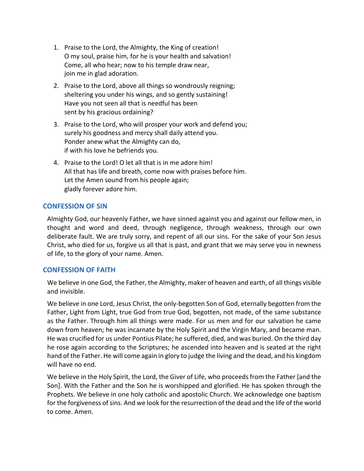- 1. Praise to the Lord, the Almighty, the King of creation! O my soul, praise him, for he is your health and salvation! Come, all who hear; now to his temple draw near, join me in glad adoration.
- 2. Praise to the Lord, above all things so wondrously reigning; sheltering you under his wings, and so gently sustaining! Have you not seen all that is needful has been sent by his gracious ordaining?
- 3. Praise to the Lord, who will prosper your work and defend you; surely his goodness and mercy shall daily attend you. Ponder anew what the Almighty can do, if with his love he befriends you.
- 4. Praise to the Lord! O let all that is in me adore him! All that has life and breath, come now with praises before him. Let the Amen sound from his people again; gladly forever adore him.

## **CONFESSION OF SIN**

Almighty God, our heavenly Father, we have sinned against you and against our fellow men, in thought and word and deed, through negligence, through weakness, through our own deliberate fault. We are truly sorry, and repent of all our sins. For the sake of your Son Jesus Christ, who died for us, forgive us all that is past, and grant that we may serve you in newness of life, to the glory of your name. Amen.

## **CONFESSION OF FAITH**

We believe in one God, the Father, the Almighty, maker of heaven and earth, of all things visible and invisible.

We believe in one Lord, Jesus Christ, the only-begotten Son of God, eternally begotten from the Father, Light from Light, true God from true God, begotten, not made, of the same substance as the Father. Through him all things were made. For us men and for our salvation he came down from heaven; he was incarnate by the Holy Spirit and the Virgin Mary, and became man. He was crucified for us under Pontius Pilate; he suffered, died, and was buried. On the third day he rose again according to the Scriptures; he ascended into heaven and is seated at the right hand of the Father. He will come again in glory to judge the living and the dead, and his kingdom will have no end.

We believe in the Holy Spirit, the Lord, the Giver of Life, who proceeds from the Father [and the Son]. With the Father and the Son he is worshipped and glorified. He has spoken through the Prophets. We believe in one holy catholic and apostolic Church. We acknowledge one baptism for the forgiveness of sins. And we look for the resurrection of the dead and the life of the world to come. Amen.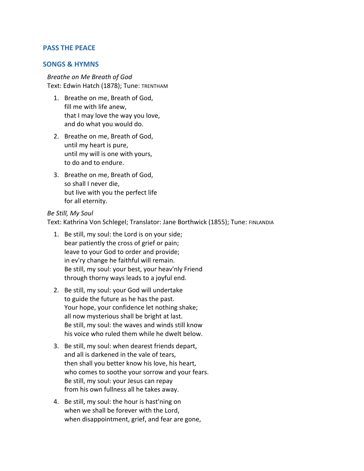## **PASS THE PEACE**

#### **SONGS & HYMNS**

*Breathe on Me Breath of God* Text: Edwin Hatch (1878); Tune: TRENTHAM

- 1. Breathe on me, Breath of God, fill me with life anew, that I may love the way you love, and do what you would do.
- 2. Breathe on me, Breath of God, until my heart is pure, until my will is one with yours, to do and to endure.
- 3. Breathe on me, Breath of God, so shall I never die, but live with you the perfect life for all eternity.

#### *Be Still, My Soul*

Text: Kathrina Von Schlegel; Translator: Jane Borthwick (1855); Tune: FINLANDIA

- 1. Be still, my soul: the Lord is on your side; bear patiently the cross of grief or pain; leave to your God to order and provide; in ev'ry change he faithful will remain. Be still, my soul: your best, your heav'nly Friend through thorny ways leads to a joyful end.
- 2. Be still, my soul: your God will undertake to guide the future as he has the past. Your hope, your confidence let nothing shake; all now mysterious shall be bright at last. Be still, my soul: the waves and winds still know his voice who ruled them while he dwelt below.
- 3. Be still, my soul: when dearest friends depart, and all is darkened in the vale of tears, then shall you better know his love, his heart, who comes to soothe your sorrow and your fears. Be still, my soul: your Jesus can repay from his own fullness all he takes away.
- 4. Be still, my soul: the hour is hast'ning on when we shall be forever with the Lord, when disappointment, grief, and fear are gone,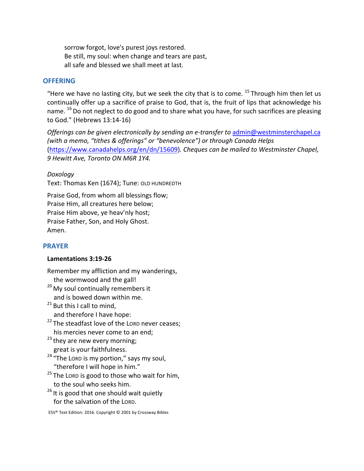sorrow forgot, love's purest joys restored. Be still, my soul: when change and tears are past, all safe and blessed we shall meet at last.

## **OFFERING**

"Here we have no lasting city, but we seek the city that is to come.  $^{15}$  Through him then let us continually offer up a sacrifice of praise to God, that is, the fruit of lips that acknowledge his name.  $^{16}$  Do not neglect to do good and to share what you have, for such sacrifices are pleasing to God." (Hebrews 13:14-16)

*Offerings can be given electronically by sending an e-transfer to admin@westminsterchapel.ca* (with a memo, "tithes & offerings" or "benevolence") or through Canada Helps (https://www.canadahelps.org/en/dn/15609). Cheques can be mailed to Westminster Chapel, *9 Hewitt Ave, Toronto ON M6R 1Y4.* 

#### *Doxology*

Text: Thomas Ken (1674); Tune: OLD HUNDREDTH

Praise God, from whom all blessings flow; Praise Him, all creatures here below; Praise Him above, ye heav'nly host; Praise Father, Son, and Holy Ghost. Amen.

## **PRAYER**

#### **Lamentations 3:19-26**

Remember my affliction and my wanderings,

the wormwood and the gall!

- $20$  My soul continually remembers it and is bowed down within me.
- $21$  But this I call to mind, and therefore I have hope:
- $22$  The steadfast love of the LORD never ceases; his mercies never come to an end:
- $23$  they are new every morning; great is your faithfulness.
- $24$  "The LORD is my portion," says my soul, "therefore I will hope in him."
- $25$  The LORD is good to those who wait for him, to the soul who seeks him.
- $26$  It is good that one should wait quietly for the salvation of the LORD.

ESV® Text Edition: 2016. Copyright © 2001 by Crossway Bibles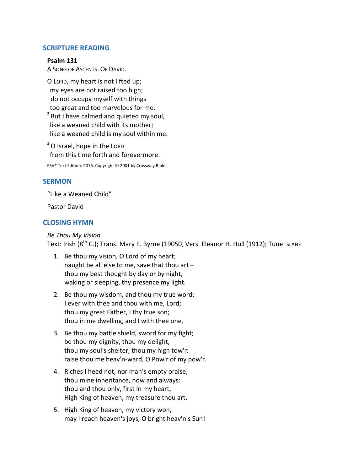## **SCRIPTURE READING**

#### **Psalm 131**

A SONG OF ASCENTS. OF DAVID.

O LORD, my heart is not lifted up; my eyes are not raised too high; I do not occupy myself with things too great and too marvelous for me.

<sup>2</sup> But I have calmed and quieted my soul, like a weaned child with its mother; like a weaned child is my soul within me.

<sup>3</sup>O Israel, hope in the LORD from this time forth and forevermore.

ESV® Text Edition: 2016. Copyright © 2001 by Crossway Bibles

## **SERMON**

"Like a Weaned Child"

Pastor David

## **CLOSING HYMN**

*Be Thou My Vision* Text: Irish (8<sup>th</sup> C.); Trans. Mary E. Byrne (19050, Vers. Eleanor H. Hull (1912); Tune: SLANE

- 1. Be thou my vision, O Lord of my heart; naught be all else to me, save that thou art  $$ thou my best thought by day or by night, waking or sleeping, thy presence my light.
- 2. Be thou my wisdom, and thou my true word; I ever with thee and thou with me, Lord; thou my great Father, I thy true son; thou in me dwelling, and I with thee one.
- 3. Be thou my battle shield, sword for my fight; be thou my dignity, thou my delight, thou my soul's shelter, thou my high tow'r: raise thou me heav'n-ward, O Pow'r of my pow'r.
- 4. Riches I heed not, nor man's empty praise, thou mine inheritance, now and always: thou and thou only, first in my heart, High King of heaven, my treasure thou art.
- 5. High King of heaven, my victory won, may I reach heaven's joys, O bright heav'n's Sun!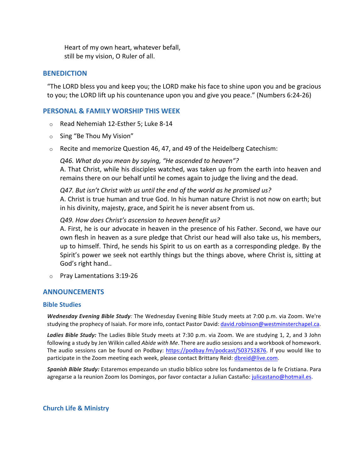Heart of my own heart, whatever befall, still be my vision, O Ruler of all.

## **BENEDICTION**

"The LORD bless you and keep you; the LORD make his face to shine upon you and be gracious to you; the LORD lift up his countenance upon you and give you peace." (Numbers 6:24-26)

## **PERSONAL & FAMILY WORSHIP THIS WEEK**

- o Read Nehemiah 12-Esther 5; Luke 8-14
- $\circ$  Sing "Be Thou My Vision"
- $\circ$  Recite and memorize Question 46, 47, and 49 of the Heidelberg Catechism:

*Q46. What do you mean by saying, "He ascended to heaven"?*

A. That Christ, while his disciples watched, was taken up from the earth into heaven and remains there on our behalf until he comes again to judge the living and the dead.

*Q47. But isn't Christ with us until the end of the world as he promised us?* 

A. Christ is true human and true God. In his human nature Christ is not now on earth; but in his divinity, majesty, grace, and Spirit he is never absent from us.

#### *Q49. How does Christ's ascension to heaven benefit us?*

A. First, he is our advocate in heaven in the presence of his Father. Second, we have our own flesh in heaven as a sure pledge that Christ our head will also take us, his members, up to himself. Third, he sends his Spirit to us on earth as a corresponding pledge. By the Spirit's power we seek not earthly things but the things above, where Christ is, sitting at God's right hand..

o Pray Lamentations 3:19-26

#### **ANNOUNCEMENTS**

#### **Bible Studies**

Wednesday Evening Bible Study: The Wednesday Evening Bible Study meets at 7:00 p.m. via Zoom. We're studying the prophecy of Isaiah. For more info, contact Pastor David: david.robinson@westminsterchapel.ca.

Ladies Bible Study: The Ladies Bible Study meets at 7:30 p.m. via Zoom. We are studying 1, 2, and 3 John following a study by Jen Wilkin called *Abide with Me*. There are audio sessions and a workbook of homework. The audio sessions can be found on Podbay: https://podbay.fm/podcast/503752876. If you would like to participate in the Zoom meeting each week, please contact Brittany Reid: dbreid@live.com.

Spanish Bible Study: Estaremos empezando un studio bíblico sobre los fundamentos de la fe Cristiana. Para agregarse a la reunion Zoom los Domingos, por favor contactar a Julian Castaño: julicastano@hotmail.es.

#### **Church Life & Ministry**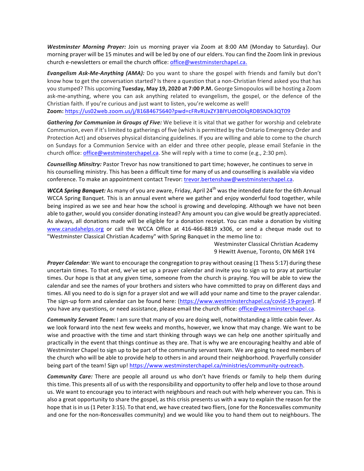*Westminster Morning Prayer:* Join us morning prayer via Zoom at 8:00 AM (Monday to Saturday). Our morning prayer will be 15 minutes and will be led by one of our elders. You can find the Zoom link in previous church e-newsletters or email the church office: office@westminsterchapel.ca.

**Evangelism Ask-Me-Anything (AMA):** Do you want to share the gospel with friends and family but don't know how to get the conversation started? Is there a question that a non-Christian friend asked you that has you stumped? This upcoming Tuesday, May 19, 2020 at 7:00 P.M. George Simopoulos will be hosting a Zoom ask-me-anything, where you can ask anything related to evangelism, the gospel, or the defence of the Christian faith. If you're curious and just want to listen, you're welcome as well! **Zoom:** https://us02web.zoom.us/j/81684675640?pwd=cFRvRUxZY3BlYUdtODlqRDBSNDk3QT09

**Gathering for Communion in Groups of Five:** We believe it is vital that we gather for worship and celebrate Communion, even if it's limited to gatherings of five (which is permitted by the Ontario Emergency Order and Protection Act) and observes physical distancing guidelines. If you are willing and able to come to the church on Sundays for a Communion Service with an elder and three other people, please email Stefanie in the church office: office@westminsterchapel.ca. She will reply with a time to come (e.g., 2:30 pm).

**Counselling Minsitry:** Pastor Trevor has now transitioned to part time; however, he continues to serve in his counselling ministry. This has been a difficult time for many of us and counselling is available via video conference. To make an appointment contact Trevor: trevor.bertenshaw@westminsterchapel.ca.

*WCCA Spring Banquet:* As many of you are aware, Friday, April 24<sup>th</sup> was the intended date for the 6th Annual WCCA Spring Banquet. This is an annual event where we gather and enjoy wonderful food together, while being inspired as we see and hear how the school is growing and developing. Although we have not been able to gather, would you consider donating instead? Any amount you can give would be greatly appreciated. As always, all donations made will be eligible for a donation receipt. You can make a donation by visiting www.canadahelps.org or call the WCCA Office at 416-466-8819 x306, or send a cheque made out to "Westminster Classical Christian Academy" with Spring Banquet in the memo line to:

> Westminster Classical Christian Academy 9 Hewitt Avenue, Toronto, ON M6R 1Y4

*Prayer Calendar:* We want to encourage the congregation to pray without ceasing (1 Thess 5:17) during these uncertain times. To that end, we've set up a prayer calendar and invite you to sign up to pray at particular times. Our hope is that at any given time, someone from the church is praying. You will be able to view the calendar and see the names of your brothers and sisters who have committed to pray on different days and times. All you need to do is sign for a prayer slot and we will add your name and time to the prayer calendar. The sign-up form and calendar can be found here: (https://www.westminsterchapel.ca/covid-19-prayer). If you have any questions, or need assistance, please email the church office: office@westminsterchapel.ca.

**Community Servant Team:** I am sure that many of you are doing well, notwithstanding a little cabin fever. As we look forward into the next few weeks and months, however, we know that may change. We want to be wise and proactive with the time and start thinking through ways we can help one another spiritually and practically in the event that things continue as they are. That is why we are encouraging healthy and able of Westminster Chapel to sign up to be part of the community servant team. We are going to need members of the church who will be able to provide help to others in and around their neighborhood. Prayerfully consider being part of the team! Sign up! https://www.westminsterchapel.ca/ministries/community-outreach.

**Community Care:** There are people all around us who don't have friends or family to help them during this time. This presents all of us with the responsibility and opportunity to offer help and love to those around us. We want to encourage you to interact with neighbours and reach out with help wherever you can. This is also a great opportunity to share the gospel, as this crisis presents us with a way to explain the reason for the hope that is in us (1 Peter 3:15). To that end, we have created two fliers, (one for the Roncesvalles community and one for the non-Roncesvalles community) and we would like you to hand them out to neighbours. The